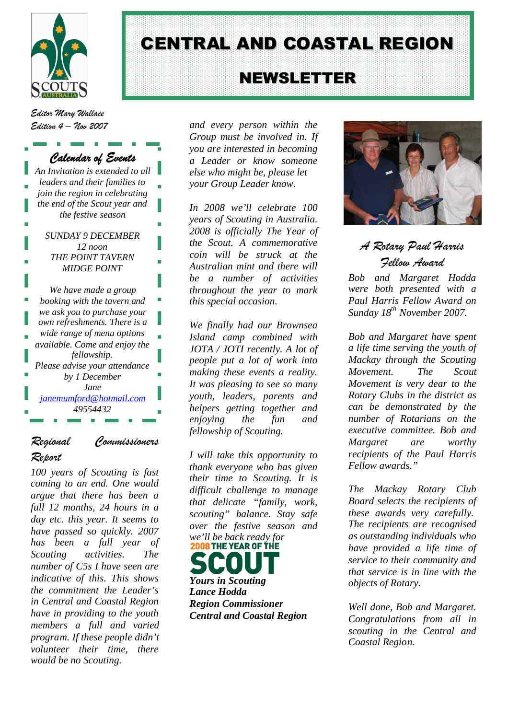

# *The hard part is finding and* CENTRAL AND COASTAL REGION *retaining the Leaders who are*

## *prepared to commit their time and energy. This is a task each* NEWSLETTER

*Editor Mary Wallace Edition 4 – Nov 2007*

# *Calendar of Events*

| An Invitation is extended to all |
|----------------------------------|
| leaders and their families to    |
| join the region in celebrating   |
| the end of the Scout year and    |
| the festive season               |
| <i>SUNDAY 9 DECEMBER</i>         |
| 12 noon                          |
| THE POINT TAVERN                 |
| <b>MIDGE POINT</b>               |
|                                  |
| We have made a group             |
| booking with the tavern and      |
| we ask you to purchase your      |
| own refreshments. There is a     |
| wide range of menu options       |
| available. Come and enjoy the    |
| fellowship.                      |
| Please advise your attendance    |
| by 1 December                    |
| Jane                             |
| <u>janemumford@hotmail.com</u>   |
| 49554432                         |
|                                  |

# *Regional Commissioners Report*

*100 years of Scouting is fast coming to an end. One would argue that there has been a full 12 months, 24 hours in a day etc. this year. It seems to have passed so quickly. 2007 has been a full year of Scouting activities. The number of C5s I have seen are indicative of this. This shows the commitment the Leader's in Central and Coastal Region have in providing to the youth members a full and varied program. If these people didn't volunteer their time, there would be no Scouting.*

*and every person within the Group must be involved in. If you are interested in becoming a Leader or know someone else who might be, please let your Group Leader know.*

*In 2008 we'll celebrate 100 years of Scouting in Australia. 2008 is officially The Year of the Scout. A commemorative coin will be struck at the Australian mint and there will be a number of activities throughout the year to mark this special occasion.*

*We finally had our Brownsea Island camp combined with JOTA / JOTI recently. A lot of people put a lot of work into making these events a reality. It was pleasing to see so many youth, leaders, parents and helpers getting together and enjoying the fun and fellowship of Scouting.*

*I will take this opportunity to thank everyone who has given their time to Scouting. It is difficult challenge to manage that delicate "family, work, scouting" balance. Stay safe over the festive season and we'll be back ready for*

*Yours in Scouting Lance Hodda Region Commissioner Central and Coastal Region*



# *A Rotary Paul Harris Fellow Award*

*Bob and Margaret Hodda were both presented with a Paul Harris Fellow Award on Sunday 18th November 2007.*

*Bob and Margaret have spent a life time serving the youth of Mackay through the Scouting Movement. The Scout Movement is very dear to the Rotary Clubs in the district as can be demonstrated by the number of Rotarians on the executive committee. Bob and Margaret are worthy recipients of the Paul Harris Fellow awards."*

*The Mackay Rotary Club Board selects the recipients of these awards very carefully. The recipients are recognised as outstanding individuals who have provided a life time of service to their community and that service is in line with the objects of Rotary.*

*Well done, Bob and Margaret. Congratulations from all in scouting in the Central and Coastal Region.*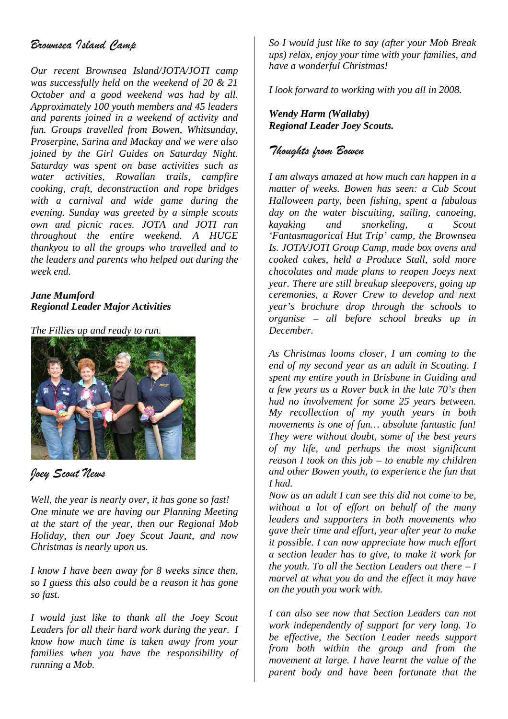# *Brownsea Island Camp*

*Our recent Brownsea Island/JOTA/JOTI camp was successfully held on the weekend of 20 & 21 October and a good weekend was had by all. Approximately 100 youth members and 45 leaders and parents joined in a weekend of activity and fun. Groups travelled from Bowen, Whitsunday, Proserpine, Sarina and Mackay and we were also joined by the Girl Guides on Saturday Night. Saturday was spent on base activities such as water activities, Rowallan trails, campfire cooking, craft, deconstruction and rope bridges with a carnival and wide game during the evening. Sunday was greeted by a simple scouts own and picnic races. JOTA and JOTI ran throughout the entire weekend. A HUGE thankyou to all the groups who travelled and to the leaders and parents who helped out during the week end.*

#### *Jane Mumford Regional Leader Major Activities*

*The Fillies up and ready to run.*



### *Joey Scout News*

*Well, the year is nearly over, it has gone so fast! One minute we are having our Planning Meeting at the start of the year, then our Regional Mob Holiday, then our Joey Scout Jaunt, and now Christmas is nearly upon us.*

*I know I have been away for 8 weeks since then, so I guess this also could be a reason it has gone so fast.*

*I would just like to thank all the Joey Scout Leaders for all their hard work during the year. I know how much time is taken away from your families when you have the responsibility of running a Mob.*

*So I would just like to say (after your Mob Break ups) relax, enjoy your time with your families, and have a wonderful Christmas!*

*I look forward to working with you all in 2008.*

*Wendy Harm (Wallaby) Regional Leader Joey Scouts.*

### *Thoughts from Bowen*

*I am always amazed at how much can happen in a matter of weeks. Bowen has seen: a Cub Scout Halloween party, been fishing, spent a fabulous day on the water biscuiting, sailing, canoeing, kayaking and snorkeling, a Scout 'Fantasmagorical Hut Trip' camp, the Brownsea Is. JOTA/JOTI Group Camp, made box ovens and cooked cakes, held a Produce Stall, sold more chocolates and made plans to reopen Joeys next year. There are still breakup sleepovers, going up ceremonies, a Rover Crew to develop and next year's brochure drop through the schools to organise – all before school breaks up in December.*

*As Christmas looms closer, I am coming to the end of my second year as an adult in Scouting. I spent my entire youth in Brisbane in Guiding and a few years as a Rover back in the late 70's then had no involvement for some 25 years between. My recollection of my youth years in both movements is one of fun… absolute fantastic fun! They were without doubt, some of the best years of my life, and perhaps the most significant reason I took on this job – to enable my children and other Bowen youth, to experience the fun that I had.*

*Now as an adult I can see this did not come to be, without a lot of effort on behalf of the many leaders and supporters in both movements who gave their time and effort, year after year to make it possible. I can now appreciate how much effort a section leader has to give, to make it work for the youth. To all the Section Leaders out there – I marvel at what you do and the effect it may have on the youth you work with.*

*I can also see now that Section Leaders can not work independently of support for very long. To be effective, the Section Leader needs support from both within the group and from the movement at large. I have learnt the value of the parent body and have been fortunate that the*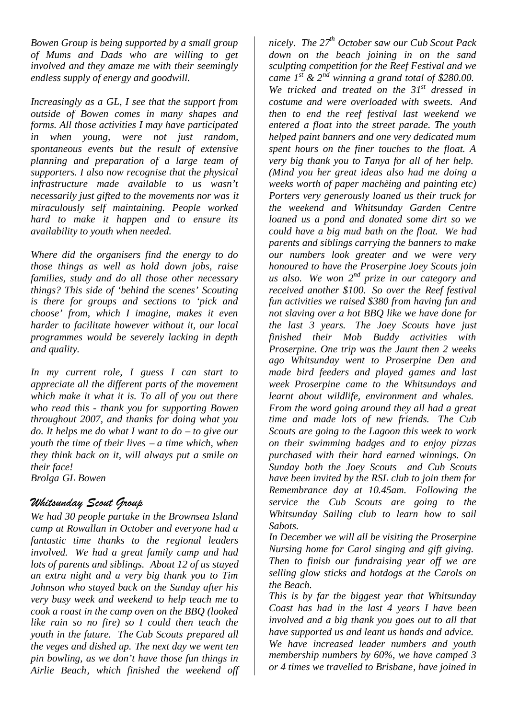*Bowen Group is being supported by a small group of Mums and Dads who are willing to get involved and they amaze me with their seemingly endless supply of energy and goodwill.*

*Increasingly as a GL, I see that the support from outside of Bowen comes in many shapes and forms. All those activities I may have participated in when young, were not just random, spontaneous events but the result of extensive planning and preparation of a large team of supporters. I also now recognise that the physical infrastructure made available to us wasn't necessarily just gifted to the movements nor was it miraculously self maintaining. People worked hard to make it happen and to ensure its availability to youth when needed.*

*Where did the organisers find the energy to do those things as well as hold down jobs, raise families, study and do all those other necessary things? This side of 'behind the scenes' Scouting is there for groups and sections to 'pick and choose' from, which I imagine, makes it even harder to facilitate however without it, our local programmes would be severely lacking in depth and quality.*

*In my current role, I guess I can start to appreciate all the different parts of the movement which make it what it is. To all of you out there who read this - thank you for supporting Bowen throughout 2007, and thanks for doing what you do. It helps me do what I want to do – to give our youth the time of their lives – a time which, when they think back on it, will always put a smile on their face! Brolga GL Bowen*

### *Whitsunday Scout Group*

*We had 30 people partake in the Brownsea Island camp at Rowallan in October and everyone had a fantastic time thanks to the regional leaders involved. We had a great family camp and had lots of parents and siblings. About 12 of us stayed an extra night and a very big thank you to Tim Johnson who stayed back on the Sunday after his very busy week and weekend to help teach me to cook a roast in the camp oven on the BBQ (looked like rain so no fire) so I could then teach the youth in the future. The Cub Scouts prepared all the veges and dished up. The next day we went ten pin bowling, as we don't have those fun things in Airlie Beach, which finished the weekend off*

*nicely. The 27th October saw our Cub Scout Pack down on the beach joining in on the sand sculpting competition for the Reef Festival and we came 1st & 2nd winning a grand total of \$280.00. We tricked and treated on the 31st dressed in costume and were overloaded with sweets. And then to end the reef festival last weekend we entered a float into the street parade. The youth helped paint banners and one very dedicated mum spent hours on the finer touches to the float. A very big thank you to Tanya for all of her help. (Mind you her great ideas also had me doing a weeks worth of paper machèing and painting etc) Porters very generously loaned us their truck for the weekend and Whitsunday Garden Centre loaned us a pond and donated some dirt so we could have a big mud bath on the float. We had parents and siblings carrying the banners to make our numbers look greater and we were very honoured to have the Proserpine Joey Scouts join us also. We won 2 nd prize in our category and received another \$100. So over the Reef festival fun activities we raised \$380 from having fun and not slaving over a hot BBQ like we have done for the last 3 years. The Joey Scouts have just finished their Mob Buddy activities with Proserpine. One trip was the Jaunt then 2 weeks ago Whitsunday went to Proserpine Den and made bird feeders and played games and last week Proserpine came to the Whitsundays and learnt about wildlife, environment and whales. From the word going around they all had a great time and made lots of new friends. The Cub Scouts are going to the Lagoon this week to work on their swimming badges and to enjoy pizzas purchased with their hard earned winnings. On Sunday both the Joey Scouts and Cub Scouts have been invited by the RSL club to join them for Remembrance day at 10.45am. Following the service the Cub Scouts are going to the Whitsunday Sailing club to learn how to sail Sabots.*

*In December we will all be visiting the Proserpine Nursing home for Carol singing and gift giving. Then to finish our fundraising year off we are selling glow sticks and hotdogs at the Carols on the Beach.*

*This is by far the biggest year that Whitsunday Coast has had in the last 4 years I have been involved and a big thank you goes out to all that have supported us and leant us hands and advice. We have increased leader numbers and youth membership numbers by 60%, we have camped 3*

*or 4 times we travelled to Brisbane, have joined in*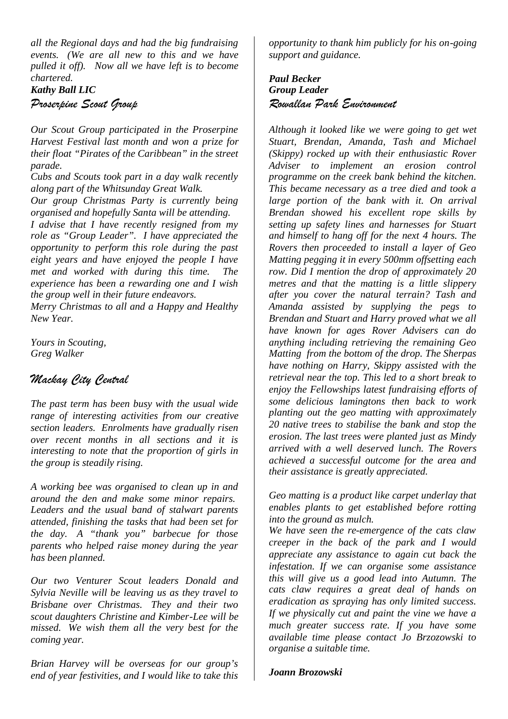*all the Regional days and had the big fundraising events. (We are all new to this and we have pulled it off). Now all we have left is to become chartered.*

#### *Kathy Ball LIC*

*Proserpine Scout Group*

*Our Scout Group participated in the Proserpine Harvest Festival last month and won a prize for their float "Pirates of the Caribbean" in the street parade.*

*Cubs and Scouts took part in a day walk recently along part of the Whitsunday Great Walk.*

*Our group Christmas Party is currently being organised and hopefully Santa will be attending.*

*I advise that I have recently resigned from my role as "Group Leader". I have appreciated the opportunity to perform this role during the past eight years and have enjoyed the people I have met and worked with during this time. The experience has been a rewarding one and I wish the group well in their future endeavors.*

*Merry Christmas to all and a Happy and Healthy New Year.*

*Yours in Scouting, Greg Walker*

# *Mackay City Central*

*The past term has been busy with the usual wide range of interesting activities from our creative section leaders. Enrolments have gradually risen over recent months in all sections and it is interesting to note that the proportion of girls in the group is steadily rising.*

*A working bee was organised to clean up in and around the den and make some minor repairs. Leaders and the usual band of stalwart parents attended, finishing the tasks that had been set for the day. A "thank you" barbecue for those parents who helped raise money during the year has been planned.*

*Our two Venturer Scout leaders Donald and Sylvia Neville will be leaving us as they travel to Brisbane over Christmas. They and their two scout daughters Christine and Kimber-Lee will be missed. We wish them all the very best for the coming year.*

*Brian Harvey will be overseas for our group's end of year festivities, and I would like to take this*

*opportunity to thank him publicly for his on-going support and guidance.*

#### *Paul Becker Group Leader Rowallan Park Environment*

*Although it looked like we were going to get wet Stuart, Brendan, Amanda, Tash and Michael (Skippy) rocked up with their enthusiastic Rover Adviser to implement an erosion control programme on the creek bank behind the kitchen. This became necessary as a tree died and took a large portion of the bank with it. On arrival Brendan showed his excellent rope skills by setting up safety lines and harnesses for Stuart and himself to hang off for the next 4 hours. The Rovers then proceeded to install a layer of Geo Matting pegging it in every 500mm offsetting each row. Did I mention the drop of approximately 20 metres and that the matting is a little slippery after you cover the natural terrain? Tash and Amanda assisted by supplying the pegs to Brendan and Stuart and Harry proved what we all have known for ages Rover Advisers can do anything including retrieving the remaining Geo Matting from the bottom of the drop. The Sherpas have nothing on Harry, Skippy assisted with the retrieval near the top. This led to a short break to enjoy the Fellowships latest fundraising efforts of some delicious lamingtons then back to work planting out the geo matting with approximately 20 native trees to stabilise the bank and stop the erosion. The last trees were planted just as Mindy arrived with a well deserved lunch. The Rovers achieved a successful outcome for the area and their assistance is greatly appreciated.*

*Geo matting is a product like carpet underlay that enables plants to get established before rotting into the ground as mulch.*

*We have seen the re-emergence of the cats claw creeper in the back of the park and I would appreciate any assistance to again cut back the infestation. If we can organise some assistance this will give us a good lead into Autumn. The cats claw requires a great deal of hands on eradication as spraying has only limited success. If we physically cut and paint the vine we have a much greater success rate. If you have some available time please contact Jo Brzozowski to organise a suitable time.*

#### *Joann Brozowski*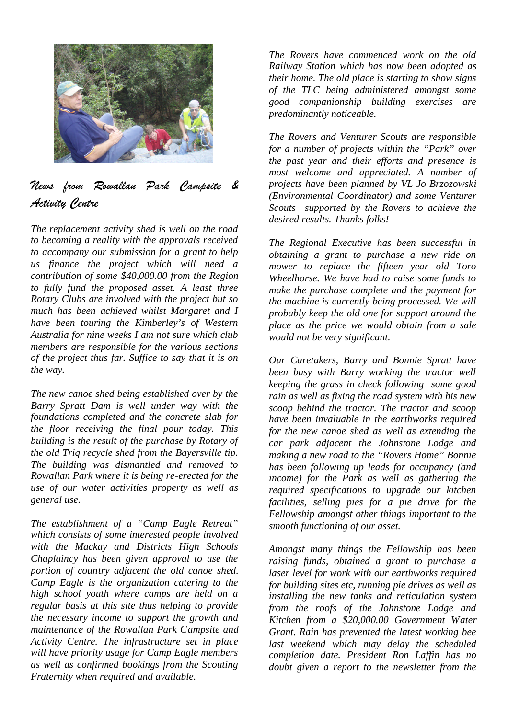

# *News from Rowallan Park Campsite & Activity Centre*

*The replacement activity shed is well on the road to becoming a reality with the approvals received to accompany our submission for a grant to help us finance the project which will need a contribution of some \$40,000.00 from the Region to fully fund the proposed asset. A least three Rotary Clubs are involved with the project but so much has been achieved whilst Margaret and I have been touring the Kimberley's of Western Australia for nine weeks I am not sure which club members are responsible for the various sections of the project thus far. Suffice to say that it is on the way.*

*The new canoe shed being established over by the Barry Spratt Dam is well under way with the foundations completed and the concrete slab for the floor receiving the final pour today. This building is the result of the purchase by Rotary of the old Triq recycle shed from the Bayersville tip. The building was dismantled and removed to Rowallan Park where it is being re-erected for the use of our water activities property as well as general use.*

*The establishment of a "Camp Eagle Retreat" which consists of some interested people involved with the Mackay and Districts High Schools Chaplaincy has been given approval to use the portion of country adjacent the old canoe shed. Camp Eagle is the organization catering to the high school youth where camps are held on a regular basis at this site thus helping to provide the necessary income to support the growth and maintenance of the Rowallan Park Campsite and Activity Centre. The infrastructure set in place will have priority usage for Camp Eagle members as well as confirmed bookings from the Scouting Fraternity when required and available.*

*The Rovers have commenced work on the old Railway Station which has now been adopted as their home. The old place is starting to show signs of the TLC being administered amongst some good companionship building exercises are predominantly noticeable.*

*The Rovers and Venturer Scouts are responsible for a number of projects within the "Park" over the past year and their efforts and presence is most welcome and appreciated. A number of projects have been planned by VL Jo Brzozowski (Environmental Coordinator) and some Venturer Scouts supported by the Rovers to achieve the desired results. Thanks folks!*

*The Regional Executive has been successful in obtaining a grant to purchase a new ride on mower to replace the fifteen year old Toro Wheelhorse. We have had to raise some funds to make the purchase complete and the payment for the machine is currently being processed. We will probably keep the old one for support around the place as the price we would obtain from a sale would not be very significant.*

*Our Caretakers, Barry and Bonnie Spratt have been busy with Barry working the tractor well keeping the grass in check following some good rain as well as fixing the road system with his new scoop behind the tractor. The tractor and scoop have been invaluable in the earthworks required for the new canoe shed as well as extending the car park adjacent the Johnstone Lodge and making a new road to the "Rovers Home" Bonnie has been following up leads for occupancy (and income) for the Park as well as gathering the required specifications to upgrade our kitchen facilities, selling pies for a pie drive for the Fellowship amongst other things important to the smooth functioning of our asset.*

*Amongst many things the Fellowship has been raising funds, obtained a grant to purchase a laser level for work with our earthworks required for building sites etc, running pie drives as well as installing the new tanks and reticulation system from the roofs of the Johnstone Lodge and Kitchen from a \$20,000.00 Government Water Grant. Rain has prevented the latest working bee last weekend which may delay the scheduled completion date. President Ron Laffin has no doubt given a report to the newsletter from the*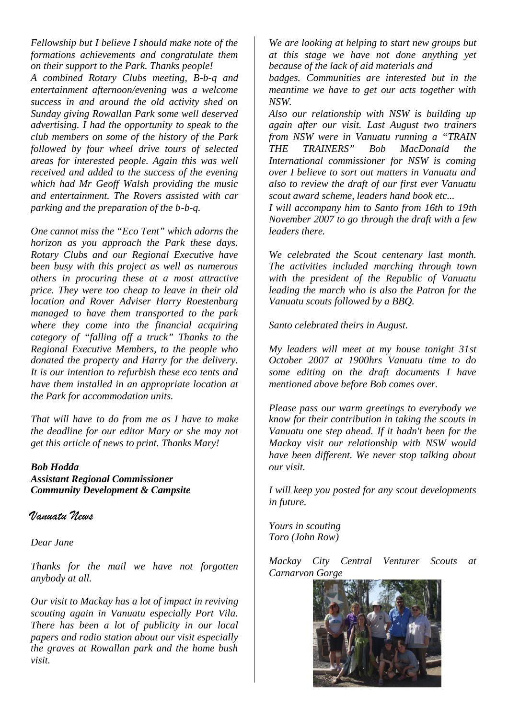*Fellowship but I believe I should make note of the formations achievements and congratulate them on their support to the Park. Thanks people!*

*A combined Rotary Clubs meeting, B-b-q and entertainment afternoon/evening was a welcome success in and around the old activity shed on Sunday giving Rowallan Park some well deserved advertising. I had the opportunity to speak to the club members on some of the history of the Park followed by four wheel drive tours of selected areas for interested people. Again this was well received and added to the success of the evening which had Mr Geoff Walsh providing the music and entertainment. The Rovers assisted with car parking and the preparation of the b-b-q.*

*One cannot miss the "Eco Tent" which adorns the horizon as you approach the Park these days. Rotary Clubs and our Regional Executive have been busy with this project as well as numerous others in procuring these at a most attractive price. They were too cheap to leave in their old location and Rover Adviser Harry Roestenburg managed to have them transported to the park where they come into the financial acquiring category of "falling off a truck" Thanks to the Regional Executive Members, to the people who donated the property and Harry for the delivery. It is our intention to refurbish these eco tents and have them installed in an appropriate location at the Park for accommodation units.*

*That will have to do from me as I have to make the deadline for our editor Mary or she may not get this article of news to print. Thanks Mary!*

#### *Bob Hodda*

*Assistant Regional Commissioner Community Development & Campsite*

#### *Vanuatu News*

*Dear Jane*

*Thanks for the mail we have not forgotten anybody at all.*

*Our visit to Mackay has a lot of impact in reviving scouting again in Vanuatu especially Port Vila. There has been a lot of publicity in our local papers and radio station about our visit especially the graves at Rowallan park and the home bush visit.*

*We are looking at helping to start new groups but at this stage we have not done anything yet because of the lack of aid materials and*

*badges. Communities are interested but in the meantime we have to get our acts together with NSW.*

*Also our relationship with NSW is building up again after our visit. Last August two trainers from NSW were in Vanuatu running a "TRAIN THE TRAINERS" Bob MacDonald the International commissioner for NSW is coming over I believe to sort out matters in Vanuatu and also to review the draft of our first ever Vanuatu scout award scheme, leaders hand book etc...*

*I will accompany him to Santo from 16th to 19th November 2007 to go through the draft with a few leaders there.*

*We celebrated the Scout centenary last month. The activities included marching through town with the president of the Republic of Vanuatu leading the march who is also the Patron for the Vanuatu scouts followed by a BBQ.*

*Santo celebrated theirs in August.*

*My leaders will meet at my house tonight 31st October 2007 at 1900hrs Vanuatu time to do some editing on the draft documents I have mentioned above before Bob comes over.*

*Please pass our warm greetings to everybody we know for their contribution in taking the scouts in Vanuatu one step ahead. If it hadn't been for the Mackay visit our relationship with NSW would have been different. We never stop talking about our visit.*

*I will keep you posted for any scout developments in future.*

*Yours in scouting Toro (John Row)*

*Mackay City Central Venturer Scouts at Carnarvon Gorge*

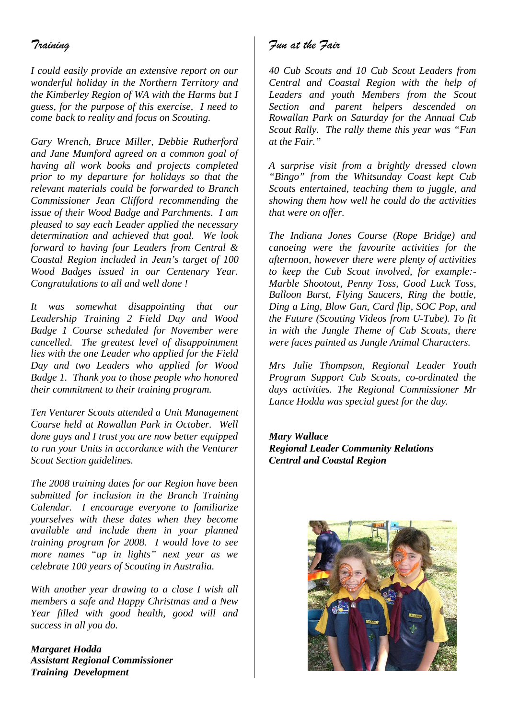# *Training*

*I could easily provide an extensive report on our wonderful holiday in the Northern Territory and the Kimberley Region of WA with the Harms but I guess, for the purpose of this exercise, I need to come back to reality and focus on Scouting.*

*Gary Wrench, Bruce Miller, Debbie Rutherford and Jane Mumford agreed on a common goal of having all work books and projects completed prior to my departure for holidays so that the relevant materials could be forwarded to Branch Commissioner Jean Clifford recommending the issue of their Wood Badge and Parchments. I am pleased to say each Leader applied the necessary determination and achieved that goal. We look forward to having four Leaders from Central & Coastal Region included in Jean's target of 100 Wood Badges issued in our Centenary Year. Congratulations to all and well done !*

*It was somewhat disappointing that our Leadership Training 2 Field Day and Wood Badge 1 Course scheduled for November were cancelled. The greatest level of disappointment lies with the one Leader who applied for the Field Day and two Leaders who applied for Wood Badge 1. Thank you to those people who honored their commitment to their training program.*

*Ten Venturer Scouts attended a Unit Management Course held at Rowallan Park in October. Well done guys and I trust you are now better equipped to run your Units in accordance with the Venturer Scout Section guidelines.*

*The 2008 training dates for our Region have been submitted for inclusion in the Branch Training Calendar. I encourage everyone to familiarize yourselves with these dates when they become available and include them in your planned training program for 2008. I would love to see more names "up in lights" next year as we celebrate 100 years of Scouting in Australia.*

*With another year drawing to a close I wish all members a safe and Happy Christmas and a New Year filled with good health, good will and success in all you do.*

*Margaret Hodda Assistant Regional Commissioner Training Development*

# *Fun at the Fair*

*40 Cub Scouts and 10 Cub Scout Leaders from Central and Coastal Region with the help of Leaders and youth Members from the Scout Section and parent helpers descended on Rowallan Park on Saturday for the Annual Cub Scout Rally. The rally theme this year was "Fun at the Fair."*

*A surprise visit from a brightly dressed clown "Bingo" from the Whitsunday Coast kept Cub Scouts entertained, teaching them to juggle, and showing them how well he could do the activities that were on offer.*

*The Indiana Jones Course (Rope Bridge) and canoeing were the favourite activities for the afternoon, however there were plenty of activities to keep the Cub Scout involved, for example:- Marble Shootout, Penny Toss, Good Luck Toss, Balloon Burst, Flying Saucers, Ring the bottle, Ding a Ling, Blow Gun, Card flip, SOC Pop, and the Future (Scouting Videos from U-Tube). To fit in with the Jungle Theme of Cub Scouts, there were faces painted as Jungle Animal Characters.*

*Mrs Julie Thompson, Regional Leader Youth Program Support Cub Scouts, co-ordinated the days activities. The Regional Commissioner Mr Lance Hodda was special guest for the day.*

*Mary Wallace Regional Leader Community Relations Central and Coastal Region*